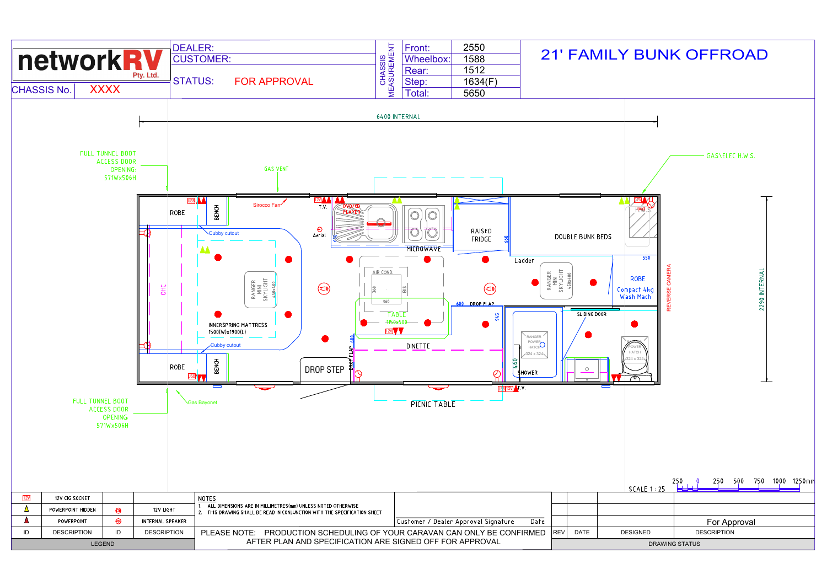